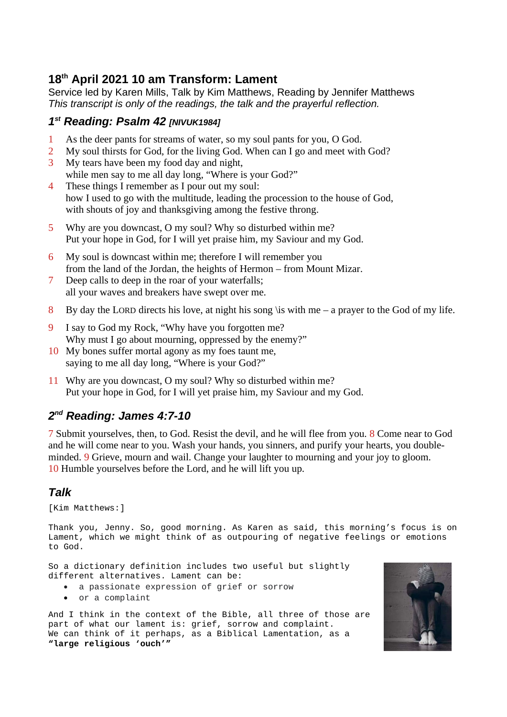### **18 th April 2021 10 am Transform: Lament**

Service led by Karen Mills, Talk by Kim Matthews, Reading by Jennifer Matthews *This transcript is only of the readings, the talk and the prayerful reflection.*

### *1 st Reading: Psalm 42 [NIVUK1984]*

- 1 As the deer pants for streams of water, so my soul pants for you, O God.
- 2 My soul thirsts for God, for the living God. When can I go and meet with God?
- 3 My tears have been my food day and night, while men say to me all day long, "Where is your God?"
- 4 These things I remember as I pour out my soul: how I used to go with the multitude, leading the procession to the house of God, with shouts of joy and thanksgiving among the festive throng.
- 5 Why are you downcast, O my soul? Why so disturbed within me? Put your hope in God, for I will yet praise him, my Saviour and my God.
- 6 My soul is downcast within me; therefore I will remember you from the land of the Jordan, the heights of Hermon – from Mount Mizar.
- 7 Deep calls to deep in the roar of your waterfalls; all your waves and breakers have swept over me.
- 8 By day the LORD directs his love, at night his song \is with me a prayer to the God of my life.
- 9 I say to God my Rock, "Why have you forgotten me? Why must I go about mourning, oppressed by the enemy?"
- 10 My bones suffer mortal agony as my foes taunt me, saying to me all day long, "Where is your God?"
- 11 Why are you downcast, O my soul? Why so disturbed within me? Put your hope in God, for I will yet praise him, my Saviour and my God.

# *2 nd Reading: James 4:7-10*

7 Submit yourselves, then, to God. Resist the devil, and he will flee from you. 8 Come near to God and he will come near to you. Wash your hands, you sinners, and purify your hearts, you doubleminded. 9 Grieve, mourn and wail. Change your laughter to mourning and your joy to gloom. 10 Humble yourselves before the Lord, and he will lift you up.

# *Talk*

[Kim Matthews:]

Thank you, Jenny. So, good morning. As Karen as said, this morning's focus is on Lament, which we might think of as outpouring of negative feelings or emotions to God.

So a dictionary definition includes two useful but slightly different alternatives. Lament can be:

- a passionate expression of grief or sorrow
- or a complaint

And I think in the context of the Bible, all three of those are part of what our lament is: grief, sorrow and complaint. We can think of it perhaps, as a Biblical Lamentation, as a **"large religious 'ouch'"**

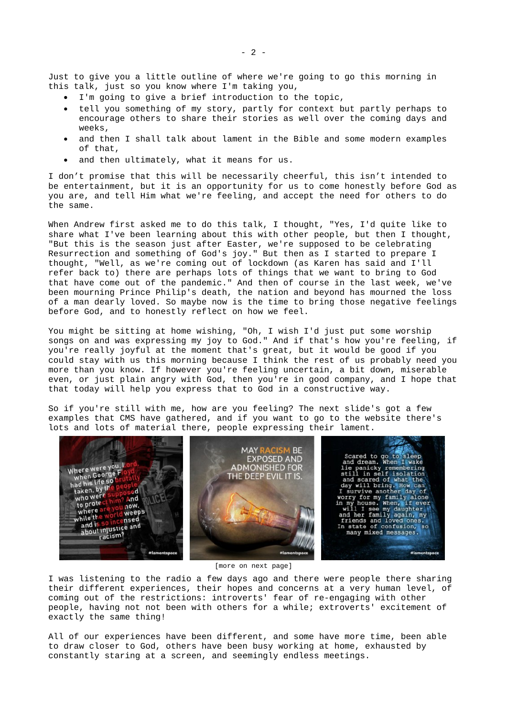Just to give you a little outline of where we're going to go this morning in this talk, just so you know where I'm taking you,

- I'm going to give a brief introduction to the topic,
- tell you something of my story, partly for context but partly perhaps to encourage others to share their stories as well over the coming days and weeks,
- and then I shall talk about lament in the Bible and some modern examples of that,
- and then ultimately, what it means for us.

I don't promise that this will be necessarily cheerful, this isn't intended to be entertainment, but it is an opportunity for us to come honestly before God as you are, and tell Him what we're feeling, and accept the need for others to do the same.

When Andrew first asked me to do this talk, I thought, "Yes, I'd quite like to share what I've been learning about this with other people, but then I thought, "But this is the season just after Easter, we're supposed to be celebrating Resurrection and something of God's joy." But then as I started to prepare I thought, "Well, as we're coming out of lockdown (as Karen has said and I'll refer back to) there are perhaps lots of things that we want to bring to God that have come out of the pandemic." And then of course in the last week, we've been mourning Prince Philip's death, the nation and beyond has mourned the loss of a man dearly loved. So maybe now is the time to bring those negative feelings before God, and to honestly reflect on how we feel.

You might be sitting at home wishing, "Oh, I wish I'd just put some worship songs on and was expressing my joy to God." And if that's how you're feeling, if you're really joyful at the moment that's great, but it would be good if you could stay with us this morning because I think the rest of us probably need you more than you know. If however you're feeling uncertain, a bit down, miserable even, or just plain angry with God, then you're in good company, and I hope that that today will help you express that to God in a constructive way.

So if you're still with me, how are you feeling? The next slide's got a few examples that CMS have gathered, and if you want to go to the website there's lots and lots of material there, people expressing their lament.



[more on next page]

I was listening to the radio a few days ago and there were people there sharing their different experiences, their hopes and concerns at a very human level, of coming out of the restrictions: introverts' fear of re-engaging with other people, having not not been with others for a while; extroverts' excitement of exactly the same thing!

All of our experiences have been different, and some have more time, been able to draw closer to God, others have been busy working at home, exhausted by constantly staring at a screen, and seemingly endless meetings.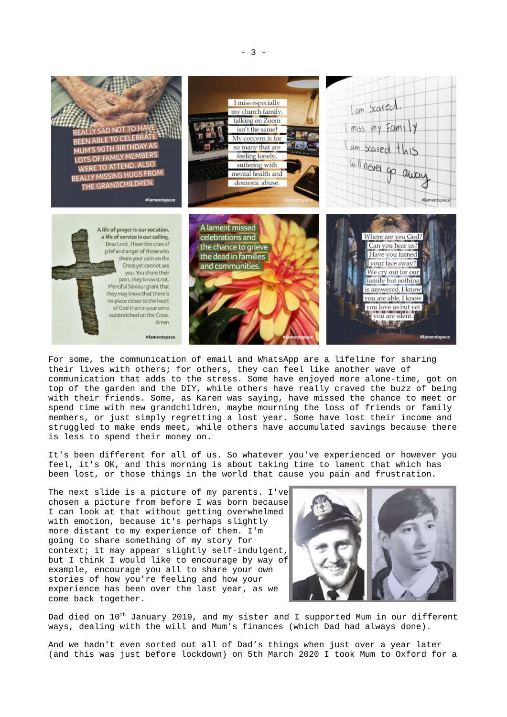

For some, the communication of email and WhatsApp are a lifeline for sharing their lives with others; for others, they can feel like another wave of communication that adds to the stress. Some have enjoyed more alone-time, got on top of the garden and the DIY, while others have really craved the buzz of being with their friends. Some, as Karen was saying, have missed the chance to meet or spend time with new grandchildren, maybe mourning the loss of friends or family members, or just simply regretting a lost year. Some have lost their income and struggled to make ends meet, while others have accumulated savings because there is less to spend their money on.

It's been different for all of us. So whatever you've experienced or however you feel, it's OK, and this morning is about taking time to lament that which has been lost, or those things in the world that cause you pain and frustration.

The next slide is a picture of my parents. I've chosen a picture from before I was born because I can look at that without getting overwhelmed with emotion, because it's perhaps slightly more distant to my experience of them. I'm going to share something of my story for context; it may appear slightly self-indulgent, but I think I would like to encourage by way of example, encourage you all to share your own stories of how you're feeling and how your experience has been over the last year, as we come back together.



Dad died on 10<sup>th</sup> January 2019, and my sister and I supported Mum in our different ways, dealing with the will and Mum's finances (which Dad had always done).

And we hadn't even sorted out all of Dad's things when just over a year later (and this was just before lockdown) on 5th March 2020 I took Mum to Oxford for a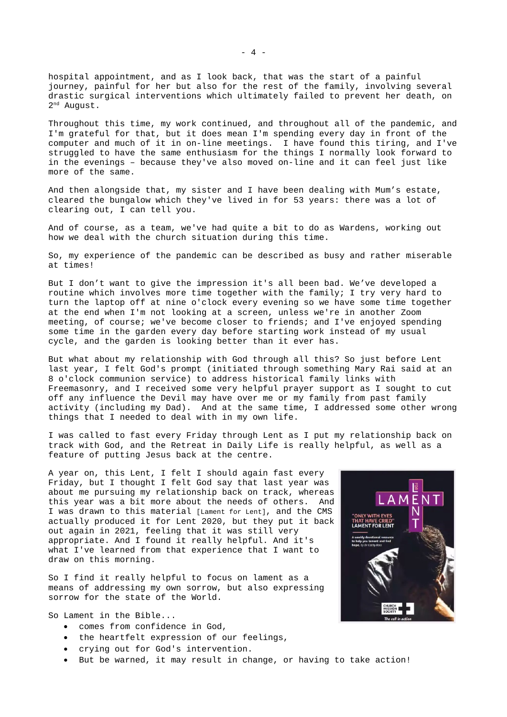hospital appointment, and as I look back, that was the start of a painful journey, painful for her but also for the rest of the family, involving several drastic surgical interventions which ultimately failed to prevent her death, on 2<sup>nd</sup> August.

Throughout this time, my work continued, and throughout all of the pandemic, and I'm grateful for that, but it does mean I'm spending every day in front of the computer and much of it in on-line meetings. I have found this tiring, and I've struggled to have the same enthusiasm for the things I normally look forward to in the evenings – because they've also moved on-line and it can feel just like more of the same.

And then alongside that, my sister and I have been dealing with Mum's estate, cleared the bungalow which they've lived in for 53 years: there was a lot of clearing out, I can tell you.

And of course, as a team, we've had quite a bit to do as Wardens, working out how we deal with the church situation during this time.

So, my experience of the pandemic can be described as busy and rather miserable at times!

But I don't want to give the impression it's all been bad. We've developed a routine which involves more time together with the family; I try very hard to turn the laptop off at nine o'clock every evening so we have some time together at the end when I'm not looking at a screen, unless we're in another Zoom meeting, of course; we've become closer to friends; and I've enjoyed spending some time in the garden every day before starting work instead of my usual cycle, and the garden is looking better than it ever has.

But what about my relationship with God through all this? So just before Lent last year, I felt God's prompt (initiated through something Mary Rai said at an 8 o'clock communion service) to address historical family links with Freemasonry, and I received some very helpful prayer support as I sought to cut off any influence the Devil may have over me or my family from past family activity (including my Dad). And at the same time, I addressed some other wrong things that I needed to deal with in my own life.

I was called to fast every Friday through Lent as I put my relationship back on track with God, and the Retreat in Daily Life is really helpful, as well as a feature of putting Jesus back at the centre.

A year on, this Lent, I felt I should again fast every Friday, but I thought I felt God say that last year was about me pursuing my relationship back on track, whereas this year was a bit more about the needs of others. And I was drawn to this material [Lament for Lent], and the CMS actually produced it for Lent 2020, but they put it back out again in 2021, feeling that it was still very appropriate. And I found it really helpful. And it's what I've learned from that experience that I want to draw on this morning.

So I find it really helpful to focus on lament as a means of addressing my own sorrow, but also expressing sorrow for the state of the World.

So Lament in the Bible...

- comes from confidence in God,
- the heartfelt expression of our feelings,
- crying out for God's intervention.
- But be warned, it may result in change, or having to take action!

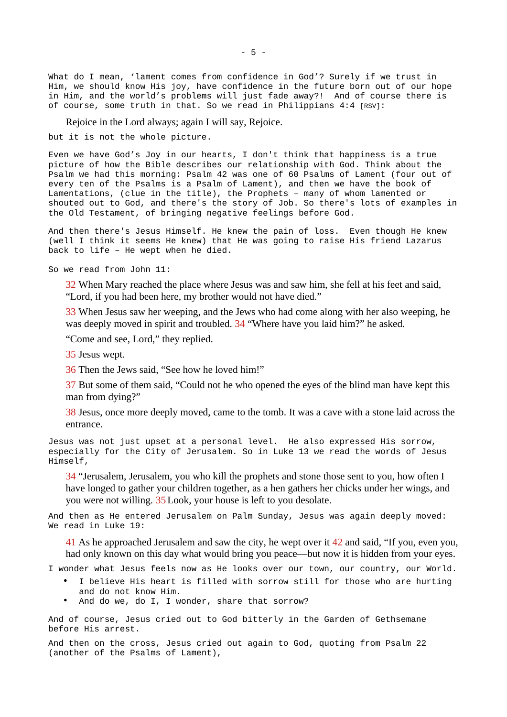What do I mean, 'lament comes from confidence in God'? Surely if we trust in Him, we should know His joy, have confidence in the future born out of our hope in Him, and the world's problems will just fade away?! And of course there is of course, some truth in that. So we read in Philippians 4:4 [RSV]:

Rejoice in the Lord always; again I will say, Rejoice.

but it is not the whole picture.

Even we have God's Joy in our hearts, I don't think that happiness is a true picture of how the Bible describes our relationship with God. Think about the Psalm we had this morning: Psalm 42 was one of 60 Psalms of Lament (four out of every ten of the Psalms is a Psalm of Lament), and then we have the book of Lamentations, (clue in the title), the Prophets – many of whom lamented or shouted out to God, and there's the story of Job. So there's lots of examples in the Old Testament, of bringing negative feelings before God.

And then there's Jesus Himself. He knew the pain of loss. Even though He knew (well I think it seems He knew) that He was going to raise His friend Lazarus back to life – He wept when he died.

So we read from John 11:

32 When Mary reached the place where Jesus was and saw him, she fell at his feet and said, "Lord, if you had been here, my brother would not have died."

33 When Jesus saw her weeping, and the Jews who had come along with her also weeping, he was deeply moved in spirit and troubled. 34 "Where have you laid him?" he asked.

"Come and see, Lord," they replied.

35 Jesus wept.

36 Then the Jews said, "See how he loved him!"

37 But some of them said, "Could not he who opened the eyes of the blind man have kept this man from dying?"

38 Jesus, once more deeply moved, came to the tomb. It was a cave with a stone laid across the entrance.

Jesus was not just upset at a personal level. He also expressed His sorrow, especially for the City of Jerusalem. So in Luke 13 we read the words of Jesus Himself,

34 "Jerusalem, Jerusalem, you who kill the prophets and stone those sent to you, how often I have longed to gather your children together, as a hen gathers her chicks under her wings, and you were not willing. 35Look, your house is left to you desolate.

And then as He entered Jerusalem on Palm Sunday, Jesus was again deeply moved: We read in Luke 19:

41 As he approached Jerusalem and saw the city, he wept over it 42 and said, "If you, even you, had only known on this day what would bring you peace—but now it is hidden from your eyes.

I wonder what Jesus feels now as He looks over our town, our country, our World.

- I believe His heart is filled with sorrow still for those who are hurting and do not know Him.
- And do we, do I, I wonder, share that sorrow?

And of course, Jesus cried out to God bitterly in the Garden of Gethsemane before His arrest.

And then on the cross, Jesus cried out again to God, quoting from Psalm 22 (another of the Psalms of Lament),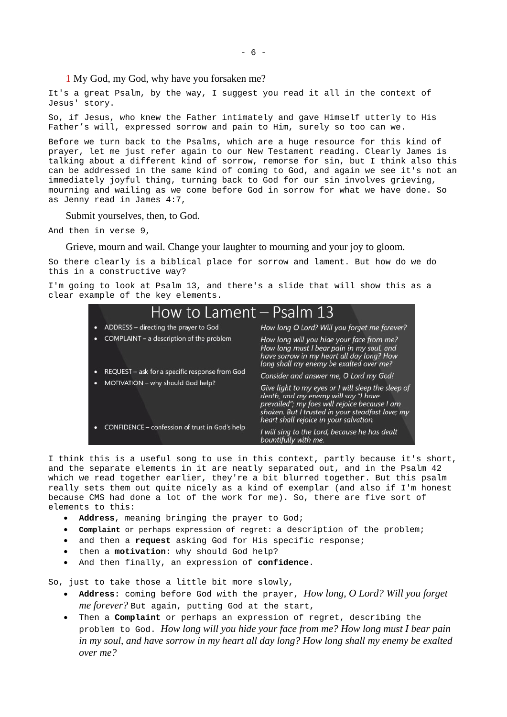1 My God, my God, why have you forsaken me?

It's a great Psalm, by the way, I suggest you read it all in the context of Jesus' story.

So, if Jesus, who knew the Father intimately and gave Himself utterly to His Father's will, expressed sorrow and pain to Him, surely so too can we.

Before we turn back to the Psalms, which are a huge resource for this kind of prayer, let me just refer again to our New Testament reading. Clearly James is talking about a different kind of sorrow, remorse for sin, but I think also this can be addressed in the same kind of coming to God, and again we see it's not an immediately joyful thing, turning back to God for our sin involves grieving, mourning and wailing as we come before God in sorrow for what we have done. So as Jenny read in James 4:7,

Submit yourselves, then, to God.

And then in verse 9,

Grieve, mourn and wail. Change your laughter to mourning and your joy to gloom.

So there clearly is a biblical place for sorrow and lament. But how do we do this in a constructive way?

I'm going to look at Psalm 13, and there's a slide that will show this as a clear example of the key elements.

|   | How to Lament – Psalm 13                                                                                                              |                                                                                                                                                                                                                                           |
|---|---------------------------------------------------------------------------------------------------------------------------------------|-------------------------------------------------------------------------------------------------------------------------------------------------------------------------------------------------------------------------------------------|
| ۰ | ADDRESS - directing the prayer to God                                                                                                 | How long O Lord? Will you forget me forever?                                                                                                                                                                                              |
|   | COMPLAINT - a description of the problem                                                                                              | How long will you hide your face from me?<br>How long must I bear pain in my soul, and<br>have sorrow in my heart all day long? How<br>long shall my enemy be exalted over me?                                                            |
| ٥ | REQUEST - ask for a specific response from God<br>MOTIVATION - why should God help?<br>CONFIDENCE - confession of trust in God's help | Consider and answer me, O Lord my God!                                                                                                                                                                                                    |
|   |                                                                                                                                       | Give light to my eyes or I will sleep the sleep of<br>death, and my enemy will say "I have<br>prevailed"; my foes will rejoice because I am<br>shaken. But I trusted in your steadfast love; my<br>heart shall rejoice in your salvation. |
|   |                                                                                                                                       | I will sing to the Lord, because he has dealt<br>hountifully with me.                                                                                                                                                                     |

I think this is a useful song to use in this context, partly because it's short, and the separate elements in it are neatly separated out, and in the Psalm 42 which we read together earlier, they're a bit blurred together. But this psalm really sets them out quite nicely as a kind of exemplar (and also if I'm honest because CMS had done a lot of the work for me). So, there are five sort of elements to this:

- **Address**, meaning bringing the prayer to God;
- **Complaint** or perhaps expression of regret: a description of the problem;
- and then a **request** asking God for His specific response;
- then a **motivation**: why should God help?
- And then finally, an expression of **confidence**.

So, just to take those a little bit more slowly,

- **Address:** coming before God with the prayer, *How long, O Lord? Will you forget me forever?* But again, putting God at the start,
- Then a **Complaint** or perhaps an expression of regret, describing the problem to God. *How long will you hide your face from me? How long must I bear pain in my soul, and have sorrow in my heart all day long? How long shall my enemy be exalted over me?*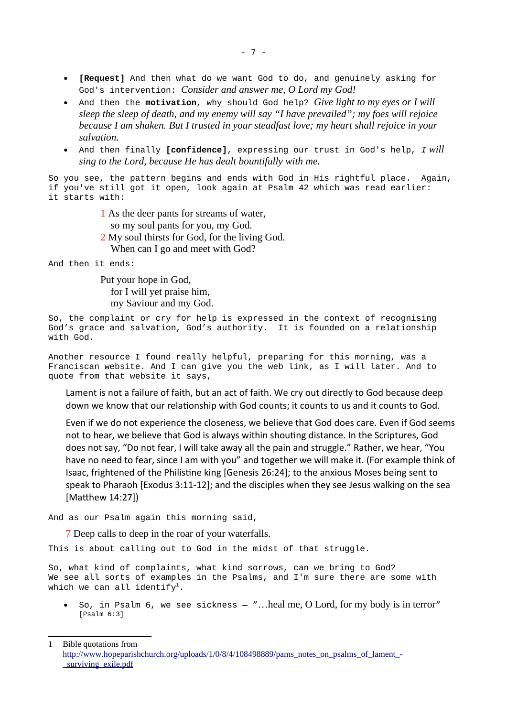- **[Request]** And then what do we want God to do, and genuinely asking for God's intervention: *Consider and answer me, O Lord my God!*
- And then the **motivation**, why should God help? *Give light to my eyes or I will sleep the sleep of death, and my enemy will say "I have prevailed"; my foes will rejoice because I am shaken. But I trusted in your steadfast love; my heart shall rejoice in your salvation.*
- And then finally **[confidence]**, expressing our trust in God's help, *I will sing to the Lord, because He has dealt bountifully with me.*

So you see, the pattern begins and ends with God in His rightful place. Again, if you've still got it open, look again at Psalm 42 which was read earlier: it starts with:

- 1 As the deer pants for streams of water, so my soul pants for you, my God. 2 My soul thirsts for God, for the living God.
- When can I go and meet with God?

And then it ends:

Put your hope in God, for I will yet praise him, my Saviour and my God.

So, the complaint or cry for help is expressed in the context of recognising God's grace and salvation, God's authority. It is founded on a relationship with God.

Another resource I found really helpful, preparing for this morning, was a Franciscan website. And I can give you the web link, as I will later. And to quote from that website it says,

Lament is not a failure of faith, but an act of faith. We cry out directly to God because deep down we know that our relationship with God counts; it counts to us and it counts to God.

Even if we do not experience the closeness, we believe that God does care. Even if God seems not to hear, we believe that God is always within shouting distance. In the Scriptures, God does not say, "Do not fear, I will take away all the pain and struggle." Rather, we hear, "You have no need to fear, since I am with you" and together we will make it. (For example think of Isaac, frightened of the Philistine king [Genesis 26:24]; to the anxious Moses being sent to speak to Pharaoh [Exodus 3:11-12]; and the disciples when they see Jesus walking on the sea [Matthew 14:27])

And as our Psalm again this morning said,

7 Deep calls to deep in the roar of your waterfalls.

This is about calling out to God in the midst of that struggle.

So, what kind of complaints, what kind sorrows, can we bring to God? We see all sorts of examples in the Psalms, and I'm sure there are some with which we can all identify<sup>[1](#page-6-0)</sup>.

 So, in Psalm 6, we see sickness — "…heal me, O Lord, for my body is in terror" [Psalm 6:3]

<span id="page-6-0"></span><sup>1</sup> Bible quotations from [http://www.hopeparishchurch.org/uploads/1/0/8/4/108498889/pams\\_notes\\_on\\_psalms\\_of\\_lament\\_-](http://www.hopeparishchurch.org/uploads/1/0/8/4/108498889/pams_notes_on_psalms_of_lament_-_surviving_exile.pdf) [\\_surviving\\_exile.pdf](http://www.hopeparishchurch.org/uploads/1/0/8/4/108498889/pams_notes_on_psalms_of_lament_-_surviving_exile.pdf)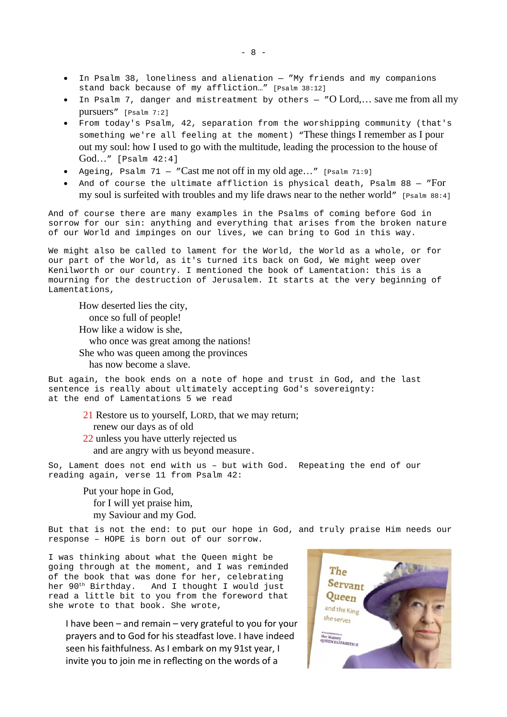- In Psalm 38, loneliness and alienation "My friends and my companions stand back because of my affliction…" [Psalm 38:12]
- In Psalm 7, danger and mistreatment by others "O Lord,… save me from all my pursuers" [Psalm 7:2]
- From today's Psalm, 42, separation from the worshipping community (that's something we're all feeling at the moment) "These things I remember as I pour out my soul: how I used to go with the multitude, leading the procession to the house of God…" [Psalm 42:4]
- Ageing, Psalm  $71 -$  "Cast me not off in my old age..." [Psalm 71:9]
- And of course the ultimate affliction is physical death, Psalm 88 "For my soul is surfeited with troubles and my life draws near to the nether world" [Psalm 88:4]

And of course there are many examples in the Psalms of coming before God in sorrow for our sin: anything and everything that arises from the broken nature of our World and impinges on our lives, we can bring to God in this way.

We might also be called to lament for the World, the World as a whole, or for our part of the World, as it's turned its back on God, We might weep over Kenilworth or our country. I mentioned the book of Lamentation: this is a mourning for the destruction of Jerusalem. It starts at the very beginning of Lamentations,

How deserted lies the city, once so full of people! How like a widow is she, who once was great among the nations! She who was queen among the provinces has now become a slave.

But again, the book ends on a note of hope and trust in God, and the last sentence is really about ultimately accepting God's sovereignty: at the end of Lamentations 5 we read

21 Restore us to yourself, LORD, that we may return; renew our days as of old 22 unless you have utterly rejected us and are angry with us beyond measure.

So, Lament does not end with us – but with God. Repeating the end of our reading again, verse 11 from Psalm 42:

Put your hope in God, for I will yet praise him, my Saviour and my God.

But that is not the end: to put our hope in God, and truly praise Him needs our response – HOPE is born out of our sorrow.

I was thinking about what the Queen might be going through at the moment, and I was reminded of the book that was done for her, celebrating her 90th Birthday. And I thought I would just read a little bit to you from the foreword that she wrote to that book. She wrote,

I have been – and remain – very grateful to you for your prayers and to God for his steadfast love. I have indeed seen his faithfulness. As I embark on my 91st year, I invite you to join me in reflecting on the words of a

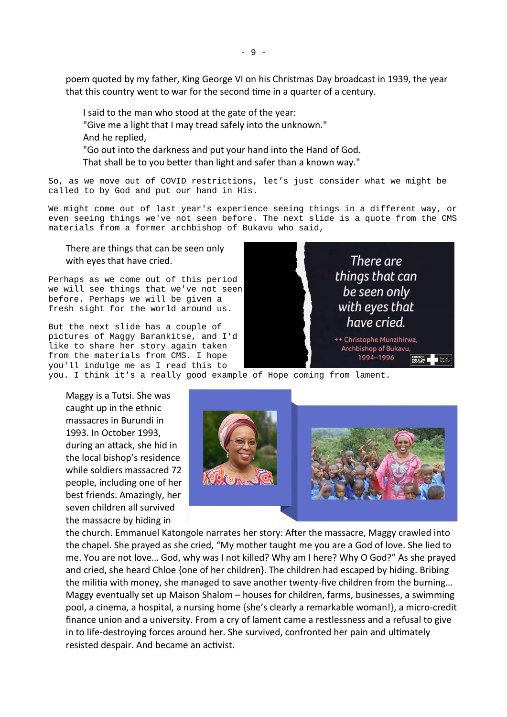poem quoted by my father, King George VI on his Christmas Day broadcast in 1939, the year that this country went to war for the second time in a quarter of a century.

I said to the man who stood at the gate of the year:

"Give me a light that I may tread safely into the unknown." And he replied,

"Go out into the darkness and put your hand into the Hand of God.

That shall be to you better than light and safer than a known way."

So, as we move out of COVID restrictions, let's just consider what we might be called to by God and put our hand in His.

We might come out of last year's experience seeing things in a different way, or even seeing things we've not seen before. The next slide is a quote from the CMS materials from a former archbishop of Bukavu who said,

There are things that can be seen only with eyes that have cried.

Perhaps as we come out of this period we will see things that we've not seen before. Perhaps we will be given a fresh sight for the world around us.

But the next slide has a couple of pictures of Maggy Barankitse, and I'd like to share her story again taken from the materials from CMS. I hope you'll indulge me as I read this to



you. I think it's a really good example of Hope coming from lament.

Maggy is a Tutsi. She was caught up in the ethnic massacres in Burundi in 1993. In October 1993, during an attack, she hid in the local bishop's residence while soldiers massacred 72 people, including one of her best friends. Amazingly, her seven children all survived the massacre by hiding in



the church. Emmanuel Katongole narrates her story: After the massacre, Maggy crawled into the chapel. She prayed as she cried, "My mother taught me you are a God of love. She lied to me. You are not love… God, why was I not killed? Why am I here? Why O God?" As she prayed and cried, she heard Chloe {one of her children}. The children had escaped by hiding. Bribing the militia with money, she managed to save another twenty-five children from the burning… Maggy eventually set up Maison Shalom – houses for children, farms, businesses, a swimming pool, a cinema, a hospital, a nursing home {she's clearly a remarkable woman!}, a micro-credit finance union and a university. From a cry of lament came a restlessness and a refusal to give in to life-destroying forces around her. She survived, confronted her pain and ultimately resisted despair. And became an activist.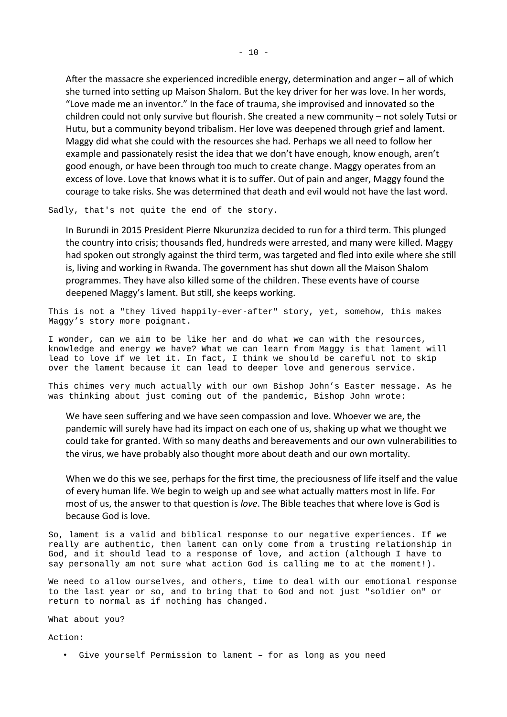After the massacre she experienced incredible energy, determination and anger – all of which she turned into setting up Maison Shalom. But the key driver for her was love. In her words, "Love made me an inventor." In the face of trauma, she improvised and innovated so the children could not only survive but flourish. She created a new community – not solely Tutsi or Hutu, but a community beyond tribalism. Her love was deepened through grief and lament. Maggy did what she could with the resources she had. Perhaps we all need to follow her example and passionately resist the idea that we don't have enough, know enough, aren't good enough, or have been through too much to create change. Maggy operates from an excess of love. Love that knows what it is to suffer. Out of pain and anger, Maggy found the courage to take risks. She was determined that death and evil would not have the last word.

Sadly, that's not quite the end of the story.

In Burundi in 2015 President Pierre Nkurunziza decided to run for a third term. This plunged the country into crisis; thousands fled, hundreds were arrested, and many were killed. Maggy had spoken out strongly against the third term, was targeted and fled into exile where she still is, living and working in Rwanda. The government has shut down all the Maison Shalom programmes. They have also killed some of the children. These events have of course deepened Maggy's lament. But still, she keeps working.

This is not a "they lived happily-ever-after" story, yet, somehow, this makes Maggy's story more poignant.

I wonder, can we aim to be like her and do what we can with the resources, knowledge and energy we have? What we can learn from Maggy is that lament will lead to love if we let it. In fact, I think we should be careful not to skip over the lament because it can lead to deeper love and generous service.

This chimes very much actually with our own Bishop John's Easter message. As he was thinking about just coming out of the pandemic, Bishop John wrote:

We have seen suffering and we have seen compassion and love. Whoever we are, the pandemic will surely have had its impact on each one of us, shaking up what we thought we could take for granted. With so many deaths and bereavements and our own vulnerabilities to the virus, we have probably also thought more about death and our own mortality.

When we do this we see, perhaps for the first time, the preciousness of life itself and the value of every human life. We begin to weigh up and see what actually matters most in life. For most of us, the answer to that question is *love*. The Bible teaches that where love is God is because God is love.

So, lament is a valid and biblical response to our negative experiences. If we really are authentic, then lament can only come from a trusting relationship in God, and it should lead to a response of love, and action (although I have to say personally am not sure what action God is calling me to at the moment!).

We need to allow ourselves, and others, time to deal with our emotional response to the last year or so, and to bring that to God and not just "soldier on" or return to normal as if nothing has changed.

What about you?

Action:

• Give yourself Permission to lament – for as long as you need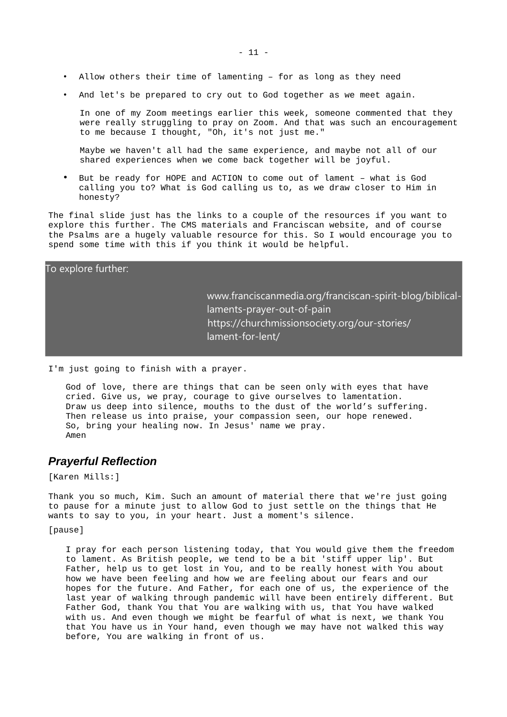- Allow others their time of lamenting for as long as they need
- And let's be prepared to cry out to God together as we meet again.

In one of my Zoom meetings earlier this week, someone commented that they were really struggling to pray on Zoom. And that was such an encouragement to me because I thought, "Oh, it's not just me."

Maybe we haven't all had the same experience, and maybe not all of our shared experiences when we come back together will be joyful.

But be ready for HOPE and ACTION to come out of lament - what is God calling you to? What is God calling us to, as we draw closer to Him in honesty?

The final slide just has the links to a couple of the resources if you want to explore this further. The CMS materials and Franciscan website, and of course the Psalms are a hugely valuable resource for this. So I would encourage you to spend some time with this if you think it would be helpful.

| To explore further: |                                                                                                                                                             |
|---------------------|-------------------------------------------------------------------------------------------------------------------------------------------------------------|
|                     | www.franciscanmedia.org/franciscan-spirit-blog/biblical-<br>laments-prayer-out-of-pain<br>https://churchmissionsociety.org/our-stories/<br>lament-for-lent/ |

I'm just going to finish with a prayer.

God of love, there are things that can be seen only with eyes that have cried. Give us, we pray, courage to give ourselves to lamentation. Draw us deep into silence, mouths to the dust of the world's suffering. Then release us into praise, your compassion seen, our hope renewed. So, bring your healing now. In Jesus' name we pray. Amen

#### *Prayerful Reflection*

#### [Karen Mills:]

Thank you so much, Kim. Such an amount of material there that we're just going to pause for a minute just to allow God to just settle on the things that He wants to say to you, in your heart. Just a moment's silence.

#### [pause]

I pray for each person listening today, that You would give them the freedom to lament. As British people, we tend to be a bit 'stiff upper lip'. But Father, help us to get lost in You, and to be really honest with You about how we have been feeling and how we are feeling about our fears and our hopes for the future. And Father, for each one of us, the experience of the last year of walking through pandemic will have been entirely different. But Father God, thank You that You are walking with us, that You have walked with us. And even though we might be fearful of what is next, we thank You that You have us in Your hand, even though we may have not walked this way before, You are walking in front of us.